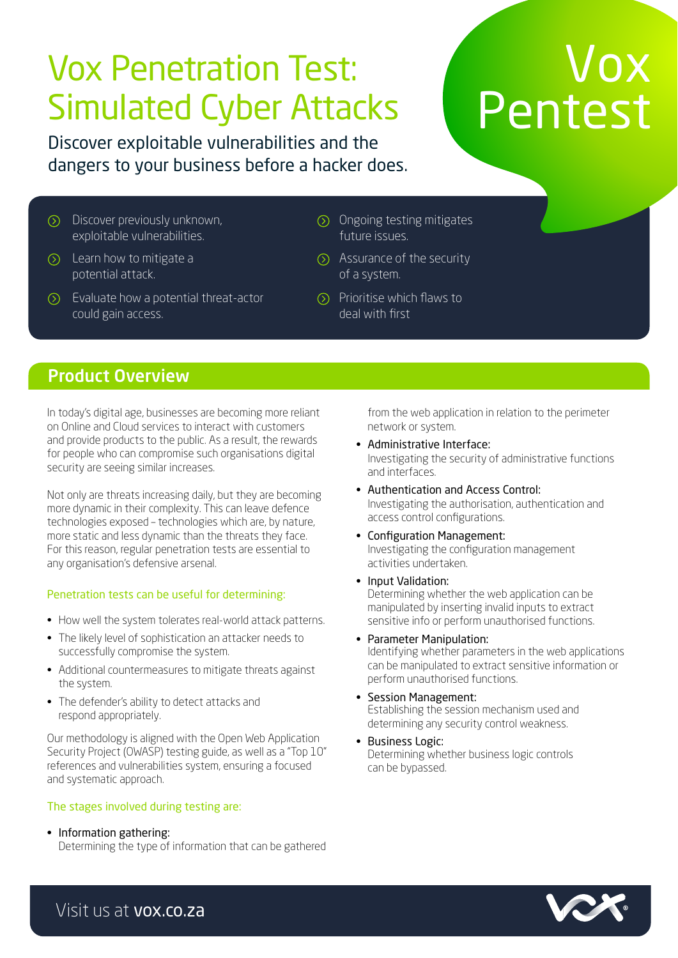# Vox Penetration Test: Simulated Cyber Attacks

# Vox Pentest

Discover exploitable vulnerabilities and the dangers to your business before a hacker does.

- Discover previously unknown, exploitable vulnerabilities.
- $\odot$  Learn how to mitigate a potential attack.
- $\circled{)}$  Evaluate how a potential threat-actor could gain access.
- Ongoing testing mitigates future issues.
- $\odot$  Assurance of the security of a system.
- $\circledcirc$  Prioritise which flaws to deal with first

### Product Overview

In today's digital age, businesses are becoming more reliant on Online and Cloud services to interact with customers and provide products to the public. As a result, the rewards for people who can compromise such organisations digital security are seeing similar increases.

Not only are threats increasing daily, but they are becoming more dynamic in their complexity. This can leave defence technologies exposed – technologies which are, by nature, more static and less dynamic than the threats they face. For this reason, regular penetration tests are essential to any organisation's defensive arsenal.

#### Penetration tests can be useful for determining:

- How well the system tolerates real-world attack patterns.
- The likely level of sophistication an attacker needs to successfully compromise the system.
- Additional countermeasures to mitigate threats against the system.
- The defender's ability to detect attacks and respond appropriately.

Our methodology is aligned with the Open Web Application Security Project (OWASP) testing guide, as well as a "Top 10" references and vulnerabilities system, ensuring a focused and systematic approach.

#### The stages involved during testing are:

• Information gathering:

Determining the type of information that can be gathered

from the web application in relation to the perimeter network or system.

- Administrative Interface: Investigating the security of administrative functions and interfaces.
- Authentication and Access Control: Investigating the authorisation, authentication and access control configurations.
- Configuration Management: Investigating the configuration management activities undertaken.
- Input Validation: Determining whether the web application can be manipulated by inserting invalid inputs to extract sensitive info or perform unauthorised functions.
- Parameter Manipulation: Identifying whether parameters in the web applications can be manipulated to extract sensitive information or perform unauthorised functions.
- Session Management: Establishing the session mechanism used and determining any security control weakness.
- Business Logic: Determining whether business logic controls can be bypassed.



Visit us at vox.co.za